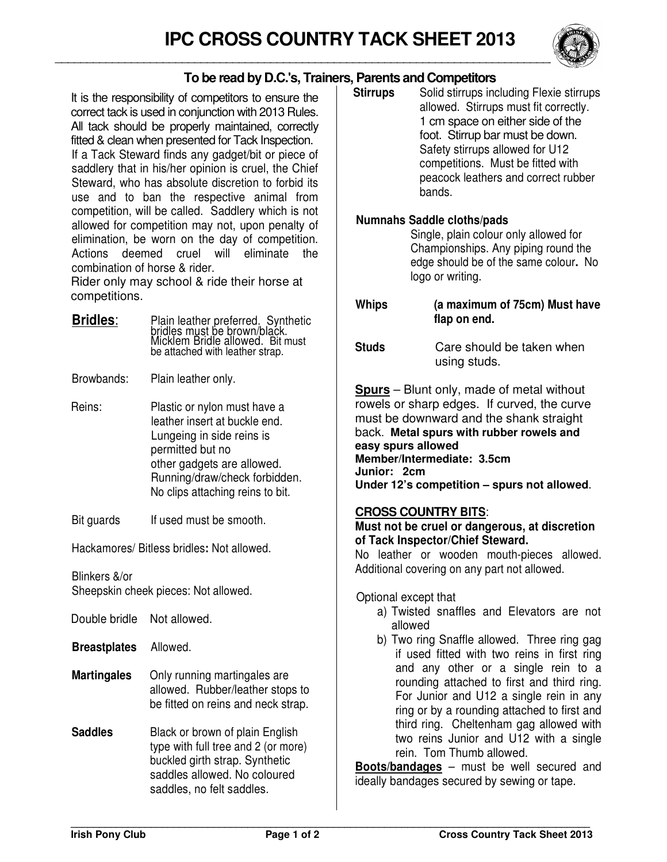

## **To be read by D.C.'s, Trainers, Parents and Competitors**

It is the responsibility of competitors to ensure the correct tack is used in conjunction with 2013 Rules. All tack should be properly maintained, correctly fitted & clean when presented for Tack Inspection. If a Tack Steward finds any gadget/bit or piece of saddlery that in his/her opinion is cruel, the Chief Steward, who has absolute discretion to forbid its use and to ban the respective animal from competition, will be called. Saddlery which is not allowed for competition may not, upon penalty of elimination, be worn on the day of competition. Actions deemed cruel will eliminate the combination of horse & rider.

Rider only may school & ride their horse at competitions.

**Bridles**: Plain leather preferred. Synthetic bridles must be brown/black. Micklem Bridle allowed. Bit must be attached with leather strap.

Browbands: Plain leather only.

- Reins: Plastic or nylon must have a leather insert at buckle end. Lungeing in side reins is permitted but no other gadgets are allowed. Running/draw/check forbidden. No clips attaching reins to bit.
- Bit guards If used must be smooth.

Hackamores/ Bitless bridles**:** Not allowed.

Blinkers &/or

| Double bridle       | Not allowed.                                                                                                                                                          |
|---------------------|-----------------------------------------------------------------------------------------------------------------------------------------------------------------------|
| <b>Breastplates</b> | Allowed.                                                                                                                                                              |
| <b>Martingales</b>  | Only running martingales are<br>allowed. Rubber/leather stops to<br>be fitted on reins and neck strap.                                                                |
| <b>Saddles</b>      | Black or brown of plain English<br>type with full tree and 2 (or more)<br>buckled girth strap. Synthetic<br>saddles allowed. No coloured<br>saddles, no felt saddles. |

**Stirrups** Solid stirrups including Flexie stirrups allowed. Stirrups must fit correctly. 1 cm space on either side of the foot. Stirrup bar must be down. Safety stirrups allowed for U12 competitions. Must be fitted with peacock leathers and correct rubber bands.

## **Numnahs Saddle cloths/pads**

Single, plain colour only allowed for Championships. Any piping round the edge should be of the same colour**.** No logo or writing.

**Whips (a maximum of 75cm) Must have flap on end.** 

**Studs** Care should be taken when using studs.

**Spurs** – Blunt only, made of metal without rowels or sharp edges. If curved, the curve must be downward and the shank straight back. **Metal spurs with rubber rowels and easy spurs allowed Member/Intermediate: 3.5cm Junior: 2cm Under 12's competition – spurs not allowed**.

## **CROSS COUNTRY BITS**:

**Must not be cruel or dangerous, at discretion of Tack Inspector/Chief Steward.** 

No leather or wooden mouth-pieces allowed. Additional covering on any part not allowed.

Optional except that

- a) Twisted snaffles and Elevators are not allowed
- b) Two ring Snaffle allowed. Three ring gag if used fitted with two reins in first ring and any other or a single rein to a rounding attached to first and third ring. For Junior and U12 a single rein in any ring or by a rounding attached to first and third ring. Cheltenham gag allowed with two reins Junior and U12 with a single rein. Tom Thumb allowed.

**Boots/bandages** – must be well secured and ideally bandages secured by sewing or tape.